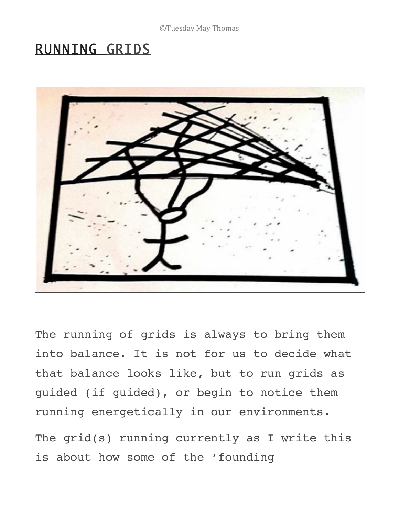## RUNNING GRIDS



The running of grids is always to bring them into balance. It is not for us to decide what that balance looks like, but to run grids as guided (if guided), or begin to notice them running energetically in our environments.

The grid(s) running currently as I write this is about how some of the 'founding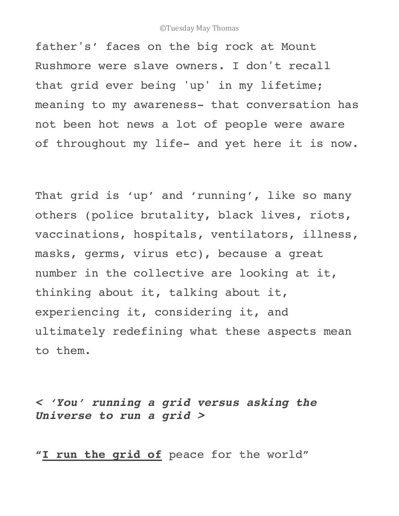father's' faces on the big rock at Mount Rushmore were slave owners. I don't recall that grid ever being 'up' in my lifetime; meaning to my awareness- that conversation has not been hot news a lot of people were aware of throughout my life- and yet here it is now.

That grid is 'up' and 'running', like so many others (police brutality, black lives, riots, vaccinations, hospitals, ventilators, illness, masks, germs, virus etc), because a great number in the collective are looking at it, thinking about it, talking about it, experiencing it, considering it, and ultimately redefining what these aspects mean to them.

*< 'You' running a grid versus asking the Universe to run a grid >*

**"I run the grid of** peace for the world"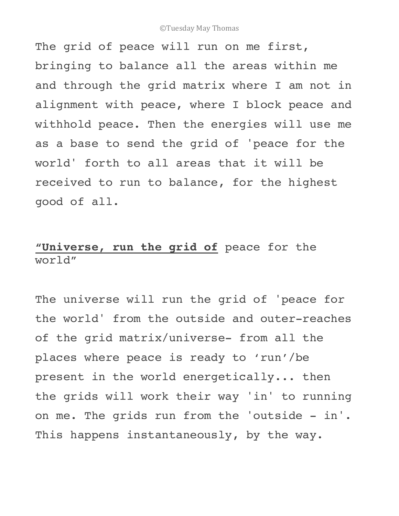The grid of peace will run on me first, bringing to balance all the areas within me and through the grid matrix where I am not in alignment with peace, where I block peace and withhold peace. Then the energies will use me as a base to send the grid of 'peace for the world' forth to all areas that it will be received to run to balance, for the highest good of all.

## **"Universe, run the grid of** peace for the world"

The universe will run the grid of 'peace for the world' from the outside and outer-reaches of the grid matrix/universe- from all the places where peace is ready to 'run'/be present in the world energetically... then the grids will work their way 'in' to running on me. The grids run from the 'outside - in'. This happens instantaneously, by the way.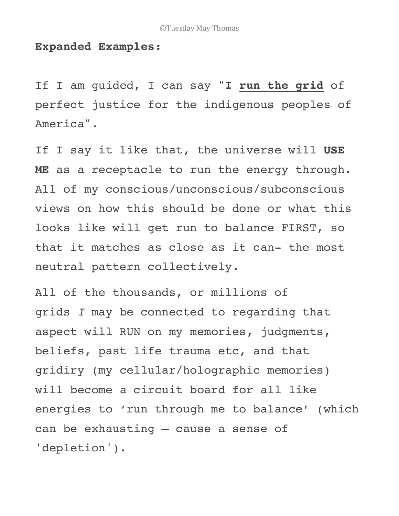## **Expanded Examples:**

If I am guided, I can say "**I run the grid** of perfect justice for the indigenous peoples of America".

If I say it like that, the universe will **USE ME** as a receptacle to run the energy through. All of my conscious/unconscious/subconscious views on how this should be done or what this looks like will get run to balance FIRST, so that it matches as close as it can- the most neutral pattern collectively.

All of the thousands, or millions of grids *I* may be connected to regarding that aspect will RUN on my memories, judgments, beliefs, past life trauma etc, and that gridiry (my cellular/holographic memories) will become a circuit board for all like energies to 'run through me to balance' (which can be exhausting – cause a sense of 'depletion').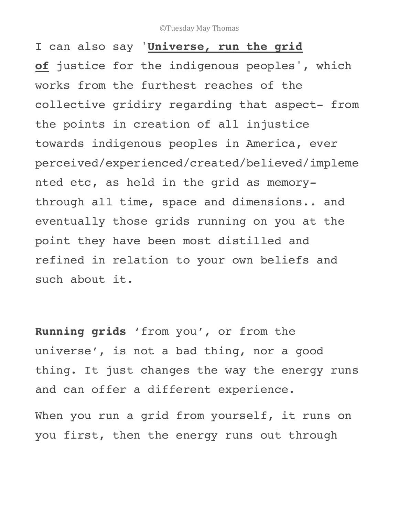I can also say '**Universe, run the grid of** justice for the indigenous peoples', which works from the furthest reaches of the collective gridiry regarding that aspect- from the points in creation of all injustice towards indigenous peoples in America, ever perceived/experienced/created/believed/impleme nted etc, as held in the grid as memorythrough all time, space and dimensions.. and eventually those grids running on you at the point they have been most distilled and refined in relation to your own beliefs and such about it.

**Running grids** 'from you', or from the universe', is not a bad thing, nor a good thing. It just changes the way the energy runs and can offer a different experience.

When you run a grid from yourself, it runs on you first, then the energy runs out through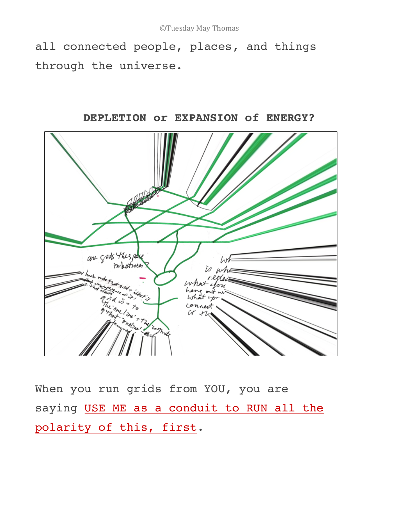all connected people, places, and things through the universe.



**DEPLETION or EXPANSION of ENERGY?**

When you run grids from YOU, you are saying USE ME as a conduit to RUN all the polarity of this, first.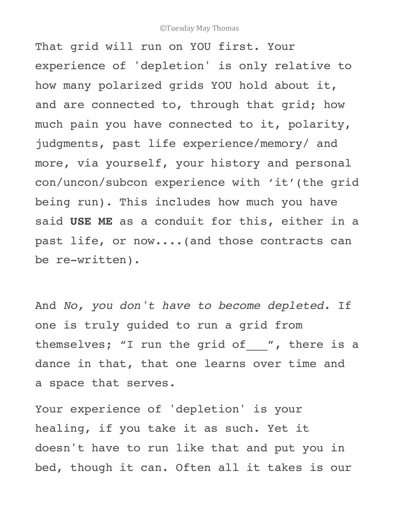That grid will run on YOU first. Your experience of 'depletion' is only relative to how many polarized grids YOU hold about it, and are connected to, through that grid; how much pain you have connected to it, polarity, judgments, past life experience/memory/ and more, via yourself, your history and personal con/uncon/subcon experience with 'it'(the grid being run). This includes how much you have said **USE ME** as a conduit for this, either in a past life, or now....(and those contracts can be re-written).

And *No, you don't have to become depleted*. If one is truly guided to run a grid from themselves; "I run the grid of\_\_\_", there is a dance in that, that one learns over time and a space that serves.

Your experience of 'depletion' is your healing, if you take it as such. Yet it doesn't have to run like that and put you in bed, though it can. Often all it takes is our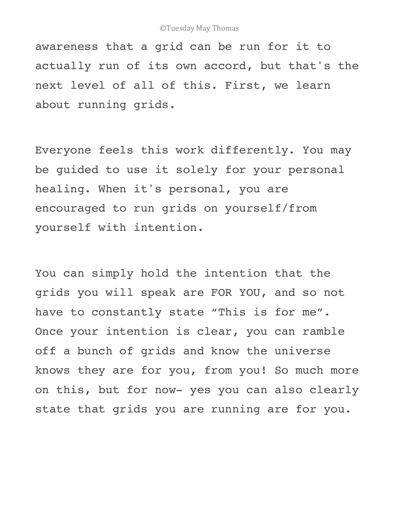awareness that a grid can be run for it to actually run of its own accord, but that's the next level of all of this. First, we learn about running grids.

Everyone feels this work differently. You may be guided to use it solely for your personal healing. When it's personal, you are encouraged to run grids on yourself/from yourself with intention.

You can simply hold the intention that the grids you will speak are FOR YOU, and so not have to constantly state "This is for me". Once your intention is clear, you can ramble off a bunch of grids and know the universe knows they are for you, from you! So much more on this, but for now- yes you can also clearly state that grids you are running are for you.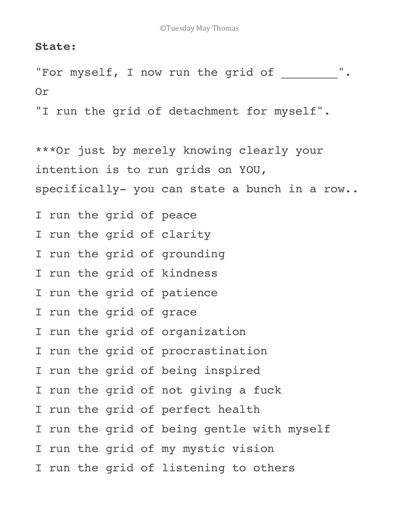## **State:**

"For myself, I now run the grid of \_\_\_\_\_\_\_\_". Or

"I run the grid of detachment for myself".

\*\*\*Or just by merely knowing clearly your intention is to run grids on YOU, specifically- you can state a bunch in a row..

I run the grid of peace

I run the grid of clarity

I run the grid of grounding

I run the grid of kindness

I run the grid of patience

I run the grid of grace

I run the grid of organization

I run the grid of procrastination

I run the grid of being inspired

I run the grid of not giving a fuck

I run the grid of perfect health

I run the grid of being gentle with myself

I run the grid of my mystic vision

I run the grid of listening to others